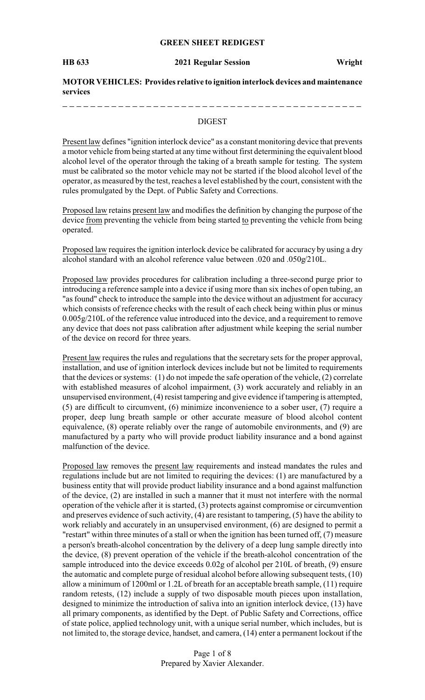#### **GREEN SHEET REDIGEST**

**HB 633 2021 Regular Session Wright**

**MOTOR VEHICLES: Provides relative to ignition interlock devices and maintenance services**

#### DIGEST

Present law defines "ignition interlock device" as a constant monitoring device that prevents a motor vehicle from being started at any time without first determining the equivalent blood alcohol level of the operator through the taking of a breath sample for testing. The system must be calibrated so the motor vehicle may not be started if the blood alcohol level of the operator, as measured by the test, reaches a level established by the court, consistent with the rules promulgated by the Dept. of Public Safety and Corrections.

Proposed law retains present law and modifies the definition by changing the purpose of the device from preventing the vehicle from being started to preventing the vehicle from being operated.

Proposed law requires the ignition interlock device be calibrated for accuracy by using a dry alcohol standard with an alcohol reference value between .020 and .050g/210L.

Proposed law provides procedures for calibration including a three-second purge prior to introducing a reference sample into a device if using more than six inches of open tubing, an "as found" check to introduce the sample into the device without an adjustment for accuracy which consists of reference checks with the result of each check being within plus or minus 0.005g/210L of the reference value introduced into the device, and a requirement to remove any device that does not pass calibration after adjustment while keeping the serial number of the device on record for three years.

Present law requires the rules and regulations that the secretary sets for the proper approval, installation, and use of ignition interlock devices include but not be limited to requirements that the devices or systems: (1) do not impede the safe operation of the vehicle, (2) correlate with established measures of alcohol impairment, (3) work accurately and reliably in an unsupervised environment, (4) resist tampering and give evidence if tampering is attempted, (5) are difficult to circumvent, (6) minimize inconvenience to a sober user, (7) require a proper, deep lung breath sample or other accurate measure of blood alcohol content equivalence, (8) operate reliably over the range of automobile environments, and (9) are manufactured by a party who will provide product liability insurance and a bond against malfunction of the device.

Proposed law removes the present law requirements and instead mandates the rules and regulations include but are not limited to requiring the devices: (1) are manufactured by a business entity that will provide product liability insurance and a bond against malfunction of the device, (2) are installed in such a manner that it must not interfere with the normal operation of the vehicle after it is started, (3) protects against compromise or circumvention and preserves evidence of such activity, (4) are resistant to tampering, (5) have the ability to work reliably and accurately in an unsupervised environment, (6) are designed to permit a "restart" within three minutes of a stall or when the ignition has been turned off, (7) measure a person's breath-alcohol concentration by the delivery of a deep lung sample directly into the device, (8) prevent operation of the vehicle if the breath-alcohol concentration of the sample introduced into the device exceeds 0.02g of alcohol per 210L of breath, (9) ensure the automatic and complete purge of residual alcohol before allowing subsequent tests, (10) allow a minimum of 1200ml or 1.2L of breath for an acceptable breath sample, (11) require random retests, (12) include a supply of two disposable mouth pieces upon installation, designed to minimize the introduction of saliva into an ignition interlock device, (13) have all primary components, as identified by the Dept. of Public Safety and Corrections, office of state police, applied technology unit, with a unique serial number, which includes, but is not limited to, the storage device, handset, and camera, (14) enter a permanent lockout if the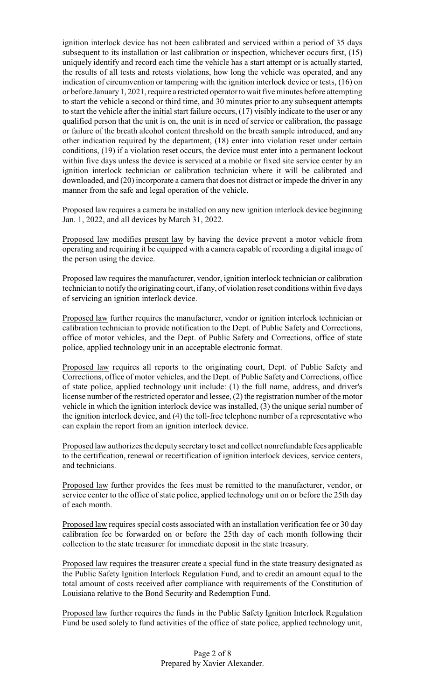ignition interlock device has not been calibrated and serviced within a period of 35 days subsequent to its installation or last calibration or inspection, whichever occurs first, (15) uniquely identify and record each time the vehicle has a start attempt or is actually started, the results of all tests and retests violations, how long the vehicle was operated, and any indication of circumvention or tampering with the ignition interlock device or tests, (16) on or before January 1, 2021, require a restricted operator to wait five minutes before attempting to start the vehicle a second or third time, and 30 minutes prior to any subsequent attempts to start the vehicle after the initial start failure occurs, (17) visibly indicate to the user or any qualified person that the unit is on, the unit is in need of service or calibration, the passage or failure of the breath alcohol content threshold on the breath sample introduced, and any other indication required by the department, (18) enter into violation reset under certain conditions, (19) if a violation reset occurs, the device must enter into a permanent lockout within five days unless the device is serviced at a mobile or fixed site service center by an ignition interlock technician or calibration technician where it will be calibrated and downloaded, and (20) incorporate a camera that does not distract or impede the driver in any manner from the safe and legal operation of the vehicle.

Proposed law requires a camera be installed on any new ignition interlock device beginning Jan. 1, 2022, and all devices by March 31, 2022.

Proposed law modifies present law by having the device prevent a motor vehicle from operating and requiring it be equipped with a camera capable of recording a digital image of the person using the device.

Proposed law requires the manufacturer, vendor, ignition interlock technician or calibration technician to notify the originating court, if any, of violation reset conditions within five days of servicing an ignition interlock device.

Proposed law further requires the manufacturer, vendor or ignition interlock technician or calibration technician to provide notification to the Dept. of Public Safety and Corrections, office of motor vehicles, and the Dept. of Public Safety and Corrections, office of state police, applied technology unit in an acceptable electronic format.

Proposed law requires all reports to the originating court, Dept. of Public Safety and Corrections, office of motor vehicles, and the Dept. of Public Safety and Corrections, office of state police, applied technology unit include: (1) the full name, address, and driver's license number of the restricted operator and lessee, (2) the registration number of the motor vehicle in which the ignition interlock device was installed, (3) the unique serial number of the ignition interlock device, and (4) the toll-free telephone number of a representative who can explain the report from an ignition interlock device.

Proposed law authorizes the deputysecretaryto set and collect nonrefundable fees applicable to the certification, renewal or recertification of ignition interlock devices, service centers, and technicians.

Proposed law further provides the fees must be remitted to the manufacturer, vendor, or service center to the office of state police, applied technology unit on or before the 25th day of each month.

Proposed law requires special costs associated with an installation verification fee or 30 day calibration fee be forwarded on or before the 25th day of each month following their collection to the state treasurer for immediate deposit in the state treasury.

Proposed law requires the treasurer create a special fund in the state treasury designated as the Public Safety Ignition Interlock Regulation Fund, and to credit an amount equal to the total amount of costs received after compliance with requirements of the Constitution of Louisiana relative to the Bond Security and Redemption Fund.

Proposed law further requires the funds in the Public Safety Ignition Interlock Regulation Fund be used solely to fund activities of the office of state police, applied technology unit,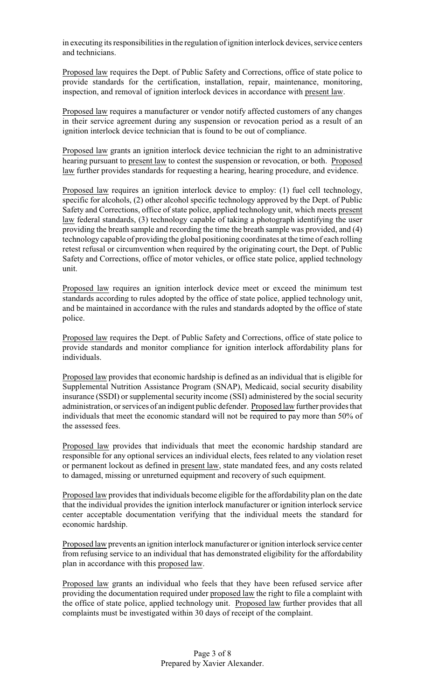in executing its responsibilities in the regulation of ignition interlock devices, service centers and technicians.

Proposed law requires the Dept. of Public Safety and Corrections, office of state police to provide standards for the certification, installation, repair, maintenance, monitoring, inspection, and removal of ignition interlock devices in accordance with present law.

Proposed law requires a manufacturer or vendor notify affected customers of any changes in their service agreement during any suspension or revocation period as a result of an ignition interlock device technician that is found to be out of compliance.

Proposed law grants an ignition interlock device technician the right to an administrative hearing pursuant to present law to contest the suspension or revocation, or both. Proposed law further provides standards for requesting a hearing, hearing procedure, and evidence.

Proposed law requires an ignition interlock device to employ: (1) fuel cell technology, specific for alcohols, (2) other alcohol specific technology approved by the Dept. of Public Safety and Corrections, office of state police, applied technology unit, which meets present law federal standards, (3) technology capable of taking a photograph identifying the user providing the breath sample and recording the time the breath sample was provided, and (4) technology capable of providing the global positioning coordinates at the time of each rolling retest refusal or circumvention when required by the originating court, the Dept. of Public Safety and Corrections, office of motor vehicles, or office state police, applied technology unit.

Proposed law requires an ignition interlock device meet or exceed the minimum test standards according to rules adopted by the office of state police, applied technology unit, and be maintained in accordance with the rules and standards adopted by the office of state police.

Proposed law requires the Dept. of Public Safety and Corrections, office of state police to provide standards and monitor compliance for ignition interlock affordability plans for individuals.

Proposed law provides that economic hardship is defined as an individual that is eligible for Supplemental Nutrition Assistance Program (SNAP), Medicaid, social security disability insurance (SSDI) or supplemental security income (SSI) administered by the social security administration, or services of an indigent public defender. Proposed law further provides that individuals that meet the economic standard will not be required to pay more than 50% of the assessed fees.

Proposed law provides that individuals that meet the economic hardship standard are responsible for any optional services an individual elects, fees related to any violation reset or permanent lockout as defined in present law, state mandated fees, and any costs related to damaged, missing or unreturned equipment and recovery of such equipment.

Proposed law provides that individuals become eligible for the affordability plan on the date that the individual provides the ignition interlock manufacturer or ignition interlock service center acceptable documentation verifying that the individual meets the standard for economic hardship.

Proposed law prevents an ignition interlock manufacturer or ignition interlock service center from refusing service to an individual that has demonstrated eligibility for the affordability plan in accordance with this proposed law.

Proposed law grants an individual who feels that they have been refused service after providing the documentation required under proposed law the right to file a complaint with the office of state police, applied technology unit. Proposed law further provides that all complaints must be investigated within 30 days of receipt of the complaint.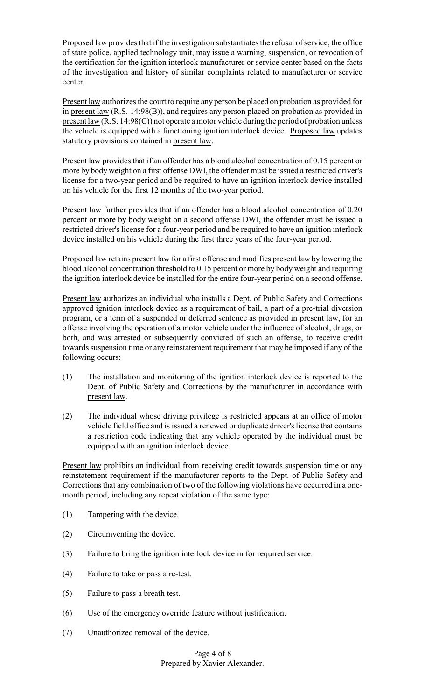Proposed law provides that if the investigation substantiates the refusal of service, the office of state police, applied technology unit, may issue a warning, suspension, or revocation of the certification for the ignition interlock manufacturer or service center based on the facts of the investigation and history of similar complaints related to manufacturer or service center.

Present law authorizes the court to require any person be placed on probation as provided for in present law (R.S. 14:98(B)), and requires any person placed on probation as provided in present law (R.S. 14:98(C)) not operate a motor vehicle during the period of probation unless the vehicle is equipped with a functioning ignition interlock device. Proposed law updates statutory provisions contained in present law.

Present law provides that if an offender has a blood alcohol concentration of 0.15 percent or more by body weight on a first offense DWI, the offender must be issued a restricted driver's license for a two-year period and be required to have an ignition interlock device installed on his vehicle for the first 12 months of the two-year period.

Present law further provides that if an offender has a blood alcohol concentration of 0.20 percent or more by body weight on a second offense DWI, the offender must be issued a restricted driver's license for a four-year period and be required to have an ignition interlock device installed on his vehicle during the first three years of the four-year period.

Proposed law retains present law for a first offense and modifies present law by lowering the blood alcohol concentration threshold to 0.15 percent or more by body weight and requiring the ignition interlock device be installed for the entire four-year period on a second offense.

Present law authorizes an individual who installs a Dept. of Public Safety and Corrections approved ignition interlock device as a requirement of bail, a part of a pre-trial diversion program, or a term of a suspended or deferred sentence as provided in present law, for an offense involving the operation of a motor vehicle under the influence of alcohol, drugs, or both, and was arrested or subsequently convicted of such an offense, to receive credit towards suspension time or any reinstatement requirement that may be imposed if any of the following occurs:

- (1) The installation and monitoring of the ignition interlock device is reported to the Dept. of Public Safety and Corrections by the manufacturer in accordance with present law.
- (2) The individual whose driving privilege is restricted appears at an office of motor vehicle field office and is issued a renewed or duplicate driver's license that contains a restriction code indicating that any vehicle operated by the individual must be equipped with an ignition interlock device.

Present law prohibits an individual from receiving credit towards suspension time or any reinstatement requirement if the manufacturer reports to the Dept. of Public Safety and Corrections that any combination of two of the following violations have occurred in a onemonth period, including any repeat violation of the same type:

- (1) Tampering with the device.
- (2) Circumventing the device.
- (3) Failure to bring the ignition interlock device in for required service.
- (4) Failure to take or pass a re-test.
- (5) Failure to pass a breath test.
- (6) Use of the emergency override feature without justification.
- (7) Unauthorized removal of the device.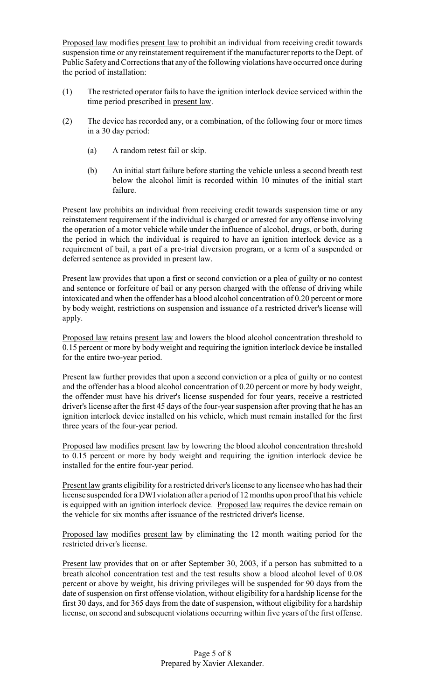Proposed law modifies present law to prohibit an individual from receiving credit towards suspension time or any reinstatement requirement if the manufacturer reports to the Dept. of Public Safety and Corrections that any of the following violations have occurred once during the period of installation:

- (1) The restricted operator fails to have the ignition interlock device serviced within the time period prescribed in present law.
- (2) The device has recorded any, or a combination, of the following four or more times in a 30 day period:
	- (a) A random retest fail or skip.
	- (b) An initial start failure before starting the vehicle unless a second breath test below the alcohol limit is recorded within 10 minutes of the initial start failure.

Present law prohibits an individual from receiving credit towards suspension time or any reinstatement requirement if the individual is charged or arrested for any offense involving the operation of a motor vehicle while under the influence of alcohol, drugs, or both, during the period in which the individual is required to have an ignition interlock device as a requirement of bail, a part of a pre-trial diversion program, or a term of a suspended or deferred sentence as provided in present law.

Present law provides that upon a first or second conviction or a plea of guilty or no contest and sentence or forfeiture of bail or any person charged with the offense of driving while intoxicated and when the offender has a blood alcohol concentration of 0.20 percent or more by body weight, restrictions on suspension and issuance of a restricted driver's license will apply.

Proposed law retains present law and lowers the blood alcohol concentration threshold to 0.15 percent or more by body weight and requiring the ignition interlock device be installed for the entire two-year period.

Present law further provides that upon a second conviction or a plea of guilty or no contest and the offender has a blood alcohol concentration of 0.20 percent or more by body weight, the offender must have his driver's license suspended for four years, receive a restricted driver's license after the first 45 days of the four-year suspension after proving that he has an ignition interlock device installed on his vehicle, which must remain installed for the first three years of the four-year period.

Proposed law modifies present law by lowering the blood alcohol concentration threshold to 0.15 percent or more by body weight and requiring the ignition interlock device be installed for the entire four-year period.

Present law grants eligibility for a restricted driver's license to any licensee who has had their license suspended for a DWI violation after a period of 12 months upon proof that his vehicle is equipped with an ignition interlock device. Proposed law requires the device remain on the vehicle for six months after issuance of the restricted driver's license.

Proposed law modifies present law by eliminating the 12 month waiting period for the restricted driver's license.

Present law provides that on or after September 30, 2003, if a person has submitted to a breath alcohol concentration test and the test results show a blood alcohol level of 0.08 percent or above by weight, his driving privileges will be suspended for 90 days from the date of suspension on first offense violation, without eligibility for a hardship license for the first 30 days, and for 365 days from the date of suspension, without eligibility for a hardship license, on second and subsequent violations occurring within five years of the first offense.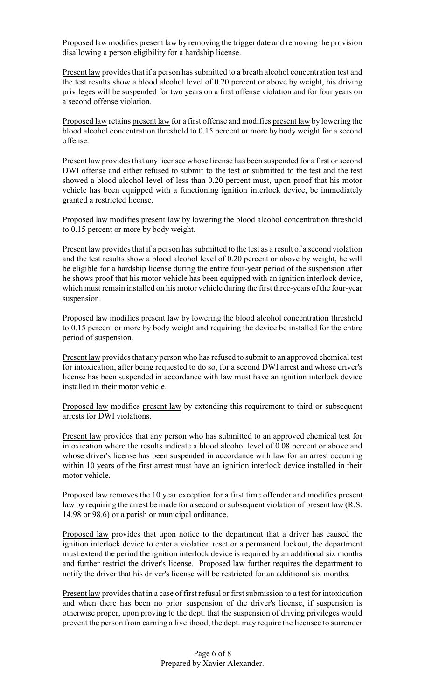Proposed law modifies present law by removing the trigger date and removing the provision disallowing a person eligibility for a hardship license.

Present law provides that if a person has submitted to a breath alcohol concentration test and the test results show a blood alcohol level of 0.20 percent or above by weight, his driving privileges will be suspended for two years on a first offense violation and for four years on a second offense violation.

Proposed law retains present law for a first offense and modifies present law by lowering the blood alcohol concentration threshold to 0.15 percent or more by body weight for a second offense.

Present law provides that any licensee whose license has been suspended for a first or second DWI offense and either refused to submit to the test or submitted to the test and the test showed a blood alcohol level of less than 0.20 percent must, upon proof that his motor vehicle has been equipped with a functioning ignition interlock device, be immediately granted a restricted license.

Proposed law modifies present law by lowering the blood alcohol concentration threshold to 0.15 percent or more by body weight.

Present law provides that if a person has submitted to the test as a result of a second violation and the test results show a blood alcohol level of 0.20 percent or above by weight, he will be eligible for a hardship license during the entire four-year period of the suspension after he shows proof that his motor vehicle has been equipped with an ignition interlock device, which must remain installed on his motor vehicle during the first three-years of the four-year suspension.

Proposed law modifies present law by lowering the blood alcohol concentration threshold to 0.15 percent or more by body weight and requiring the device be installed for the entire period of suspension.

Present law provides that any person who has refused to submit to an approved chemical test for intoxication, after being requested to do so, for a second DWI arrest and whose driver's license has been suspended in accordance with law must have an ignition interlock device installed in their motor vehicle.

Proposed law modifies present law by extending this requirement to third or subsequent arrests for DWI violations.

Present law provides that any person who has submitted to an approved chemical test for intoxication where the results indicate a blood alcohol level of 0.08 percent or above and whose driver's license has been suspended in accordance with law for an arrest occurring within 10 years of the first arrest must have an ignition interlock device installed in their motor vehicle.

Proposed law removes the 10 year exception for a first time offender and modifies present law by requiring the arrest be made for a second or subsequent violation of present law (R.S. 14.98 or 98.6) or a parish or municipal ordinance.

Proposed law provides that upon notice to the department that a driver has caused the ignition interlock device to enter a violation reset or a permanent lockout, the department must extend the period the ignition interlock device is required by an additional six months and further restrict the driver's license. Proposed law further requires the department to notify the driver that his driver's license will be restricted for an additional six months.

Present law provides that in a case of first refusal or first submission to a test for intoxication and when there has been no prior suspension of the driver's license, if suspension is otherwise proper, upon proving to the dept. that the suspension of driving privileges would prevent the person from earning a livelihood, the dept. may require the licensee to surrender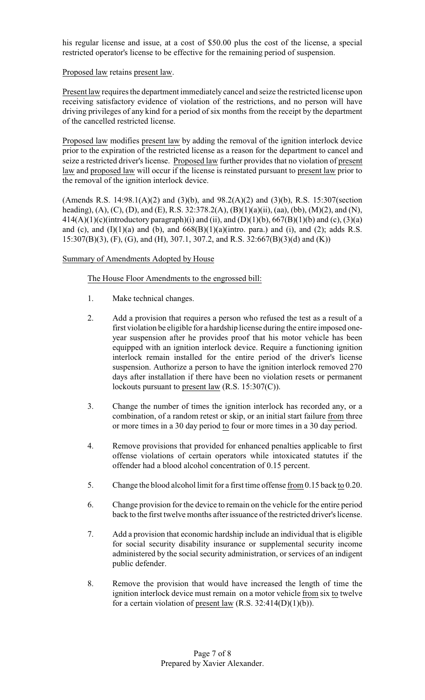his regular license and issue, at a cost of \$50.00 plus the cost of the license, a special restricted operator's license to be effective for the remaining period of suspension.

#### Proposed law retains present law.

Present law requires the department immediately cancel and seize the restricted license upon receiving satisfactory evidence of violation of the restrictions, and no person will have driving privileges of any kind for a period of six months from the receipt by the department of the cancelled restricted license.

Proposed law modifies present law by adding the removal of the ignition interlock device prior to the expiration of the restricted license as a reason for the department to cancel and seize a restricted driver's license. Proposed law further provides that no violation of present law and proposed law will occur if the license is reinstated pursuant to present law prior to the removal of the ignition interlock device.

(Amends R.S. 14:98.1(A)(2) and (3)(b), and 98.2(A)(2) and (3)(b), R.S. 15:307(section heading), (A), (C), (D), and (E), R.S. 32:378.2(A), (B)(1)(a)(ii), (aa), (bb), (M)(2), and (N),  $414(A)(1)(c)(introductory paragraph)(i)$  and (ii), and (D)(1)(b), 667(B)(1)(b) and (c), (3)(a) and (c), and  $(I)(1)(a)$  and  $(b)$ , and  $668(B)(1)(a)(in)$ tro. para.) and (i), and (2); adds R.S. 15:307(B)(3), (F), (G), and (H), 307.1, 307.2, and R.S. 32:667(B)(3)(d) and (K))

## Summary of Amendments Adopted by House

## The House Floor Amendments to the engrossed bill:

- 1. Make technical changes.
- 2. Add a provision that requires a person who refused the test as a result of a first violation be eligible for a hardship license during the entire imposed oneyear suspension after he provides proof that his motor vehicle has been equipped with an ignition interlock device. Require a functioning ignition interlock remain installed for the entire period of the driver's license suspension. Authorize a person to have the ignition interlock removed 270 days after installation if there have been no violation resets or permanent lockouts pursuant to present law (R.S. 15:307(C)).
- 3. Change the number of times the ignition interlock has recorded any, or a combination, of a random retest or skip, or an initial start failure from three or more times in a 30 day period to four or more times in a 30 day period.
- 4. Remove provisions that provided for enhanced penalties applicable to first offense violations of certain operators while intoxicated statutes if the offender had a blood alcohol concentration of 0.15 percent.
- 5. Change the blood alcohol limit for a first time offense from 0.15 back to 0.20.
- 6. Change provision for the device to remain on the vehicle for the entire period back to the first twelve months after issuance of the restricted driver's license.
- 7. Add a provision that economic hardship include an individual that is eligible for social security disability insurance or supplemental security income administered by the social security administration, or services of an indigent public defender.
- 8. Remove the provision that would have increased the length of time the ignition interlock device must remain on a motor vehicle from six to twelve for a certain violation of present law  $(R.S. 32:414(D)(1)(b))$ .